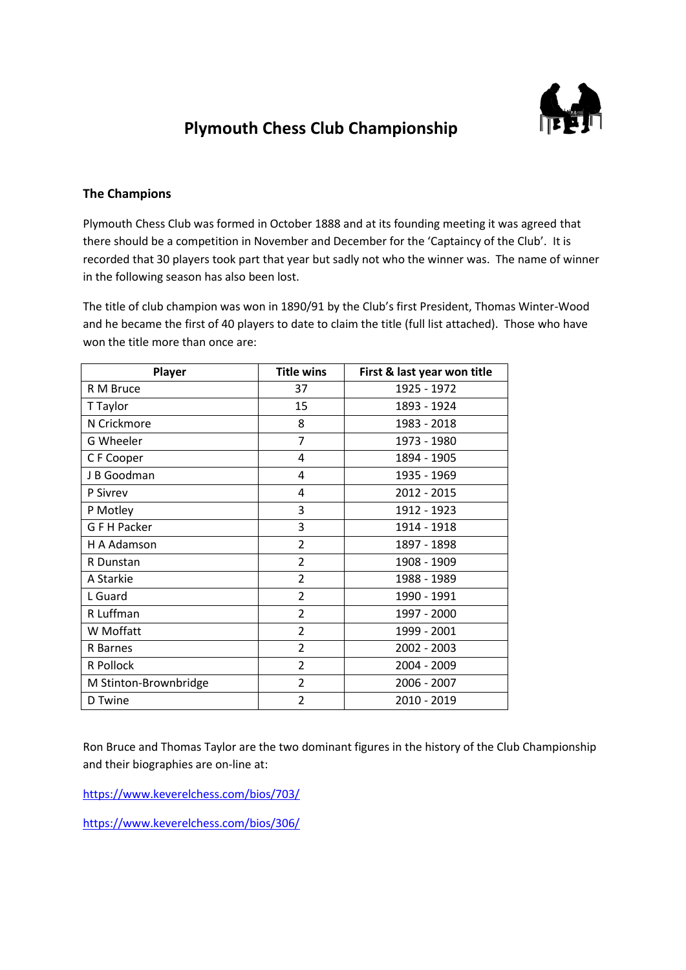

# **Plymouth Chess Club Championship**

### **The Champions**

Plymouth Chess Club was formed in October 1888 and at its founding meeting it was agreed that there should be a competition in November and December for the 'Captaincy of the Club'. It is recorded that 30 players took part that year but sadly not who the winner was. The name of winner in the following season has also been lost.

The title of club champion was won in 1890/91 by the Club's first President, Thomas Winter-Wood and he became the first of 40 players to date to claim the title (full list attached). Those who have won the title more than once are:

| Player                | <b>Title wins</b> | First & last year won title |
|-----------------------|-------------------|-----------------------------|
| R M Bruce             | 37                | 1925 - 1972                 |
| T Taylor              | 15                | 1893 - 1924                 |
| N Crickmore           | 8                 | 1983 - 2018                 |
| <b>G Wheeler</b>      | $\overline{7}$    | 1973 - 1980                 |
| C F Cooper            | 4                 | 1894 - 1905                 |
| J B Goodman           | 4                 | 1935 - 1969                 |
| P Sivrey              | 4                 | 2012 - 2015                 |
| P Motley              | 3                 | 1912 - 1923                 |
| <b>GFH Packer</b>     | 3                 | 1914 - 1918                 |
| H A Adamson           | $\overline{2}$    | 1897 - 1898                 |
| R Dunstan             | $\overline{2}$    | 1908 - 1909                 |
| A Starkie             | $\overline{2}$    | 1988 - 1989                 |
| L Guard               | $\overline{2}$    | 1990 - 1991                 |
| R Luffman             | $\overline{2}$    | 1997 - 2000                 |
| W Moffatt             | $\overline{2}$    | 1999 - 2001                 |
| R Barnes              | $\overline{2}$    | 2002 - 2003                 |
| R Pollock             | $\overline{2}$    | 2004 - 2009                 |
| M Stinton-Brownbridge | $\overline{2}$    | 2006 - 2007                 |
| D Twine               | $\overline{2}$    | 2010 - 2019                 |

Ron Bruce and Thomas Taylor are the two dominant figures in the history of the Club Championship and their biographies are on-line at:

<https://www.keverelchess.com/bios/703/>

<https://www.keverelchess.com/bios/306/>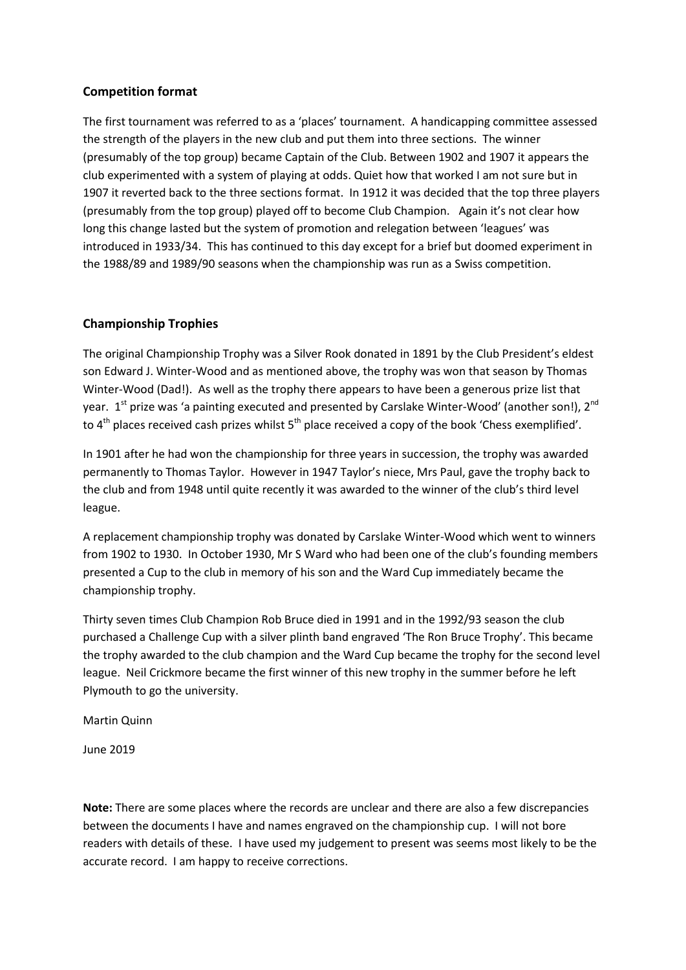#### **Competition format**

The first tournament was referred to as a 'places' tournament. A handicapping committee assessed the strength of the players in the new club and put them into three sections. The winner (presumably of the top group) became Captain of the Club. Between 1902 and 1907 it appears the club experimented with a system of playing at odds. Quiet how that worked I am not sure but in 1907 it reverted back to the three sections format. In 1912 it was decided that the top three players (presumably from the top group) played off to become Club Champion. Again it's not clear how long this change lasted but the system of promotion and relegation between 'leagues' was introduced in 1933/34. This has continued to this day except for a brief but doomed experiment in the 1988/89 and 1989/90 seasons when the championship was run as a Swiss competition.

#### **Championship Trophies**

The original Championship Trophy was a Silver Rook donated in 1891 by the Club President's eldest son Edward J. Winter-Wood and as mentioned above, the trophy was won that season by Thomas Winter-Wood (Dad!). As well as the trophy there appears to have been a generous prize list that year. 1st prize was 'a painting executed and presented by Carslake Winter-Wood' (another son!), 2<sup>nd</sup> to  $4<sup>th</sup>$  places received cash prizes whilst  $5<sup>th</sup>$  place received a copy of the book 'Chess exemplified'.

In 1901 after he had won the championship for three years in succession, the trophy was awarded permanently to Thomas Taylor. However in 1947 Taylor's niece, Mrs Paul, gave the trophy back to the club and from 1948 until quite recently it was awarded to the winner of the club's third level league.

A replacement championship trophy was donated by Carslake Winter-Wood which went to winners from 1902 to 1930. In October 1930, Mr S Ward who had been one of the club's founding members presented a Cup to the club in memory of his son and the Ward Cup immediately became the championship trophy.

Thirty seven times Club Champion Rob Bruce died in 1991 and in the 1992/93 season the club purchased a Challenge Cup with a silver plinth band engraved 'The Ron Bruce Trophy'. This became the trophy awarded to the club champion and the Ward Cup became the trophy for the second level league. Neil Crickmore became the first winner of this new trophy in the summer before he left Plymouth to go the university.

Martin Quinn

June 2019

**Note:** There are some places where the records are unclear and there are also a few discrepancies between the documents I have and names engraved on the championship cup. I will not bore readers with details of these. I have used my judgement to present was seems most likely to be the accurate record. I am happy to receive corrections.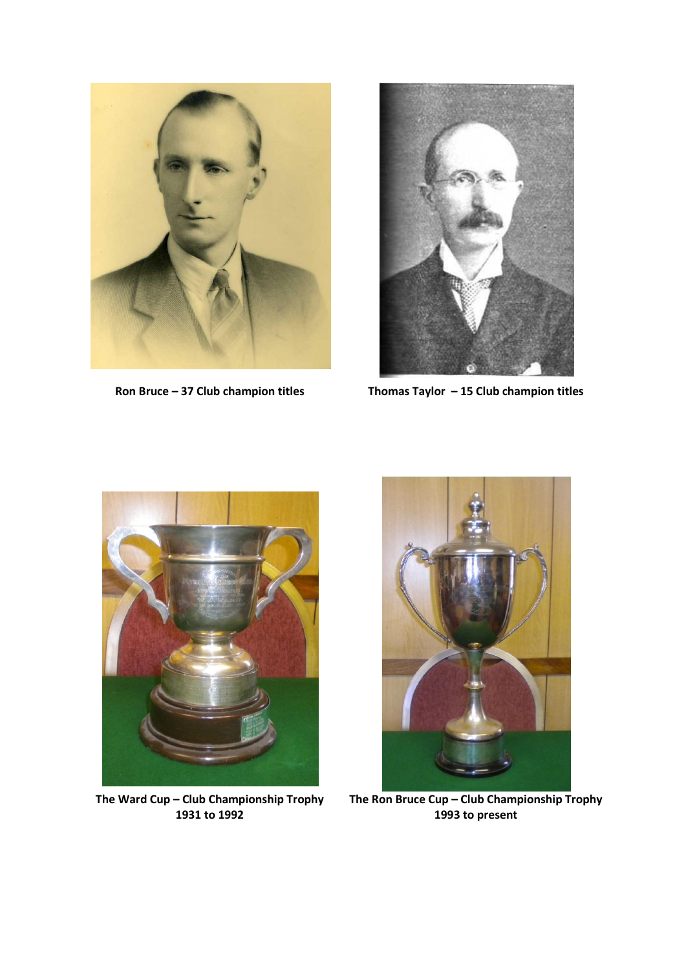



**Ron Bruce – 37 Club champion titles Thomas Taylor – 15 Club champion titles**

![](_page_2_Picture_4.jpeg)

**The Ward Cup – Club Championship Trophy 1931 to 1992**

![](_page_2_Picture_6.jpeg)

**The Ron Bruce Cup – Club Championship Trophy 1993 to present**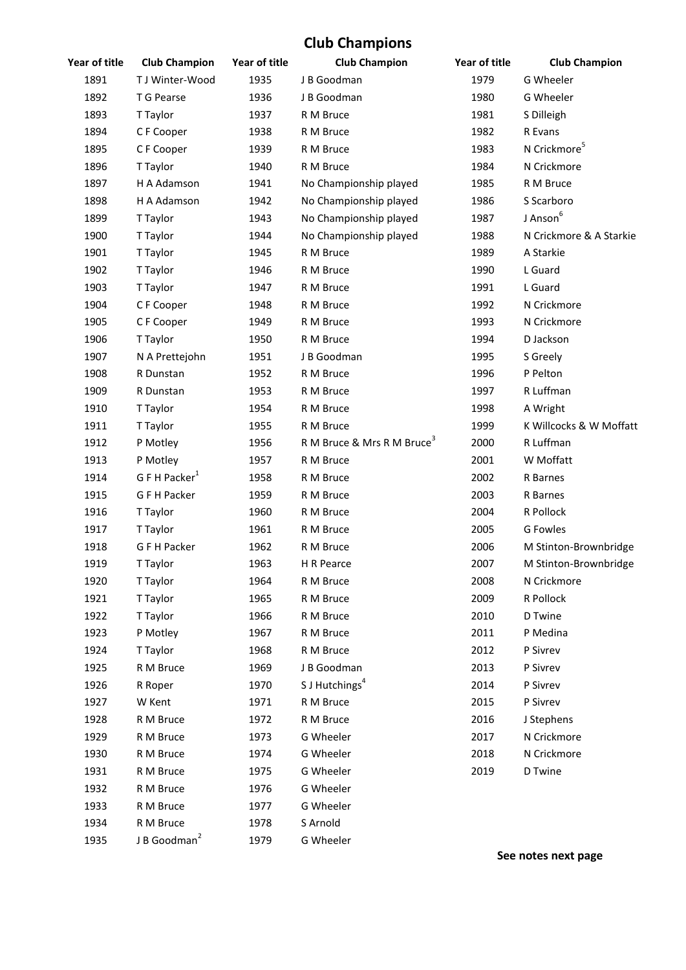## **Club Champions**

| Year of title | <b>Club Champion</b>      | Year of title | <b>Club Champion</b>                   | Year of title | <b>Club Champion</b>     |
|---------------|---------------------------|---------------|----------------------------------------|---------------|--------------------------|
| 1891          | T J Winter-Wood           | 1935          | J B Goodman                            | 1979          | G Wheeler                |
| 1892          | T G Pearse                | 1936          | J B Goodman                            | 1980          | G Wheeler                |
| 1893          | T Taylor                  | 1937          | R M Bruce                              | 1981          | S Dilleigh               |
| 1894          | C F Cooper                | 1938          | R M Bruce                              | 1982          | R Evans                  |
| 1895          | C F Cooper                | 1939          | R M Bruce                              | 1983          | N Crickmore <sup>5</sup> |
| 1896          | T Taylor                  | 1940          | R M Bruce                              | 1984          | N Crickmore              |
| 1897          | H A Adamson               | 1941          | No Championship played                 | 1985          | R M Bruce                |
| 1898          | H A Adamson               | 1942          | No Championship played                 | 1986          | S Scarboro               |
| 1899          | T Taylor                  | 1943          | No Championship played                 | 1987          | J Anson <sup>6</sup>     |
| 1900          | T Taylor                  | 1944          | No Championship played                 | 1988          | N Crickmore & A Starkie  |
| 1901          | T Taylor                  | 1945          | R M Bruce                              | 1989          | A Starkie                |
| 1902          | T Taylor                  | 1946          | R M Bruce                              | 1990          | L Guard                  |
| 1903          | T Taylor                  | 1947          | R M Bruce                              | 1991          | L Guard                  |
| 1904          | C F Cooper                | 1948          | R M Bruce                              | 1992          | N Crickmore              |
| 1905          | C F Cooper                | 1949          | R M Bruce                              | 1993          | N Crickmore              |
| 1906          | T Taylor                  | 1950          | R M Bruce                              | 1994          | D Jackson                |
| 1907          | N A Prettejohn            | 1951          | J B Goodman                            | 1995          | S Greely                 |
| 1908          | R Dunstan                 | 1952          | R M Bruce                              | 1996          | P Pelton                 |
| 1909          | R Dunstan                 | 1953          | R M Bruce                              | 1997          | R Luffman                |
| 1910          | T Taylor                  | 1954          | R M Bruce                              | 1998          | A Wright                 |
| 1911          | T Taylor                  | 1955          | R M Bruce                              | 1999          | K Willcocks & W Moffatt  |
| 1912          | P Motley                  | 1956          | R M Bruce & Mrs R M Bruce <sup>3</sup> | 2000          | R Luffman                |
| 1913          | P Motley                  | 1957          | R M Bruce                              | 2001          | W Moffatt                |
| 1914          | G F H Packer <sup>1</sup> | 1958          | R M Bruce                              | 2002          | R Barnes                 |
| 1915          | G F H Packer              | 1959          | R M Bruce                              | 2003          | R Barnes                 |
| 1916          | T Taylor                  | 1960          | R M Bruce                              | 2004          | R Pollock                |
| 1917          | T Taylor                  | 1961          | R M Bruce                              | 2005          | <b>G</b> Fowles          |
| 1918          | G F H Packer              | 1962          | R M Bruce                              | 2006          | M Stinton-Brownbridge    |
| 1919          | T Taylor                  | 1963          | H R Pearce                             | 2007          | M Stinton-Brownbridge    |
| 1920          | T Taylor                  | 1964          | R M Bruce                              | 2008          | N Crickmore              |
| 1921          | T Taylor                  | 1965          | R M Bruce                              | 2009          | R Pollock                |
| 1922          | T Taylor                  | 1966          | R M Bruce                              | 2010          | D Twine                  |
| 1923          | P Motley                  | 1967          | R M Bruce                              | 2011          | P Medina                 |
| 1924          | T Taylor                  | 1968          | R M Bruce                              | 2012          | P Sivrev                 |
| 1925          | R M Bruce                 | 1969          | J B Goodman                            | 2013          | P Sivrev                 |
| 1926          | R Roper                   | 1970          | S J Hutchings <sup>4</sup>             | 2014          | P Sivrev                 |
| 1927          | W Kent                    | 1971          | R M Bruce                              | 2015          | P Sivrev                 |
| 1928          | R M Bruce                 | 1972          | R M Bruce                              | 2016          | J Stephens               |
| 1929          | R M Bruce                 | 1973          | G Wheeler                              | 2017          | N Crickmore              |
| 1930          | R M Bruce                 | 1974          | G Wheeler                              | 2018          | N Crickmore              |
| 1931          | R M Bruce                 | 1975          | G Wheeler                              | 2019          | D Twine                  |
| 1932          | R M Bruce                 | 1976          | G Wheeler                              |               |                          |
| 1933          | R M Bruce                 | 1977          | G Wheeler                              |               |                          |
| 1934          | R M Bruce                 | 1978          | S Arnold                               |               |                          |
| 1935          | J B Goodman <sup>2</sup>  | 1979          | G Wheeler                              |               |                          |

**See notes next page**